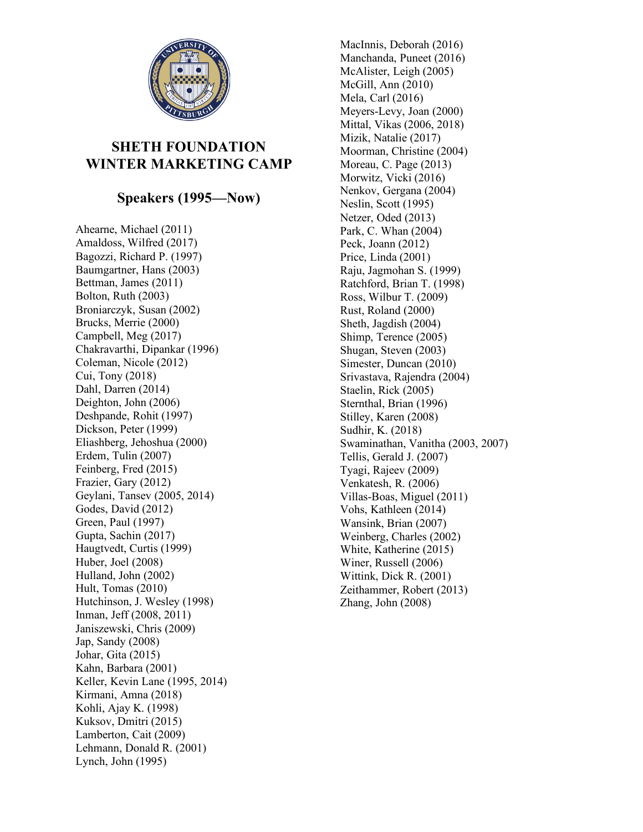

## **SHETH FOUNDATION WINTER MARKETING CAMP**

## **Speakers (1995—Now)**

Ahearne, Michael (2011) Amaldoss, Wilfred (2017) Bagozzi, Richard P. (1997) Baumgartner, Hans (2003) Bettman, James (2011) Bolton, Ruth (2003) Broniarczyk, Susan (2002) Brucks, Merrie (2000) Campbell, Meg (2017) Chakravarthi, Dipankar (1996) Coleman, Nicole (2012) Cui, Tony (2018) Dahl, Darren (2014) Deighton, John (2006) Deshpande, Rohit (1997) Dickson, Peter (1999) Eliashberg, Jehoshua (2000) Erdem, Tulin (2007) Feinberg, Fred (2015) Frazier, Gary (2012) Geylani, Tansev (2005, 2014) Godes, David (2012) Green, Paul (1997) Gupta, Sachin (2017) Haugtvedt, Curtis (1999) Huber, Joel (2008) Hulland, John (2002) Hult, Tomas (2010) Hutchinson, J. Wesley (1998) Inman, Jeff (2008, 2011) Janiszewski, Chris (2009) Jap, Sandy (2008) Johar, Gita (2015) Kahn, Barbara (2001) Keller, Kevin Lane (1995, 2014) Kirmani, Amna (2018) Kohli, Ajay K. (1998) Kuksov, Dmitri (2015) Lamberton, Cait (2009) Lehmann, Donald R. (2001) Lynch, John (1995)

MacInnis, Deborah (2016) Manchanda, Puneet (2016) McAlister, Leigh (2005) McGill, Ann (2010) Mela, Carl (2016) Meyers-Levy, Joan (2000) Mittal, Vikas (2006, 2018) Mizik, Natalie (2017) Moorman, Christine (2004) Moreau, C. Page (2013) Morwitz, Vicki (2016) Nenkov, Gergana (2004) Neslin, Scott (1995) Netzer, Oded (2013) Park, C. Whan (2004) Peck, Joann (2012) Price, Linda (2001) Raju, Jagmohan S. (1999) Ratchford, Brian T. (1998) Ross, Wilbur T. (2009) Rust, Roland (2000) Sheth, Jagdish (2004) Shimp, Terence (2005) Shugan, Steven (2003) Simester, Duncan (2010) Srivastava, Rajendra (2004) Staelin, Rick (2005) Sternthal, Brian (1996) Stilley, Karen (2008) Sudhir, K. (2018) Swaminathan, Vanitha (2003, 2007) Tellis, Gerald J. (2007) Tyagi, Rajeev (2009) Venkatesh, R. (2006) Villas-Boas, Miguel (2011) Vohs, Kathleen (2014) Wansink, Brian (2007) Weinberg, Charles (2002) White, Katherine (2015) Winer, Russell (2006) Wittink, Dick R. (2001) Zeithammer, Robert (2013) Zhang, John (2008)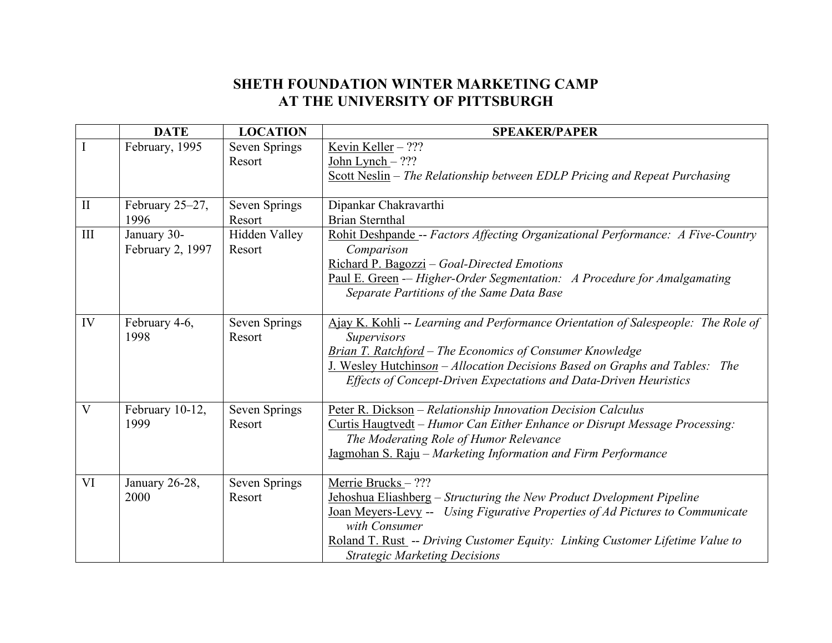## **SHETH FOUNDATION WINTER MARKETING CAMP AT THE UNIVERSITY OF PITTSBURGH**

|              | <b>DATE</b>      | <b>LOCATION</b>      | <b>SPEAKER/PAPER</b>                                                                           |
|--------------|------------------|----------------------|------------------------------------------------------------------------------------------------|
|              | February, 1995   | <b>Seven Springs</b> | Kevin Keller - ???                                                                             |
|              |                  | Resort               | John Lynch $-$ ???                                                                             |
|              |                  |                      | Scott Neslin – The Relationship between EDLP Pricing and Repeat Purchasing                     |
|              |                  |                      |                                                                                                |
| $\mathbf{I}$ | February 25-27,  | Seven Springs        | Dipankar Chakravarthi                                                                          |
|              | 1996             | Resort               | <b>Brian Sternthal</b>                                                                         |
| $\rm III$    | January 30-      | Hidden Valley        | Rohit Deshpande -- Factors Affecting Organizational Performance: A Five-Country                |
|              | February 2, 1997 | Resort               | Comparison                                                                                     |
|              |                  |                      | Richard P. Bagozzi - Goal-Directed Emotions                                                    |
|              |                  |                      | Paul E. Green - Higher-Order Segmentation: A Procedure for Amalgamating                        |
|              |                  |                      | Separate Partitions of the Same Data Base                                                      |
|              |                  |                      |                                                                                                |
| IV           | February 4-6,    | <b>Seven Springs</b> | Ajay K. Kohli -- Learning and Performance Orientation of Salespeople: The Role of              |
|              | 1998             | Resort               | <b>Supervisors</b>                                                                             |
|              |                  |                      | <b>Brian T. Ratchford</b> – The Economics of Consumer Knowledge                                |
|              |                  |                      | J. Wesley Hutchinson - Allocation Decisions Based on Graphs and Tables: The                    |
|              |                  |                      | Effects of Concept-Driven Expectations and Data-Driven Heuristics                              |
|              |                  |                      |                                                                                                |
| V            | February 10-12,  | Seven Springs        | Peter R. Dickson - Relationship Innovation Decision Calculus                                   |
|              | 1999             | Resort               | Curtis Haugtvedt - Humor Can Either Enhance or Disrupt Message Processing:                     |
|              |                  |                      | The Moderating Role of Humor Relevance                                                         |
|              |                  |                      | Jagmohan S. Raju - Marketing Information and Firm Performance                                  |
| VI           |                  |                      |                                                                                                |
|              | January 26-28,   | Seven Springs        | Merrie Brucks-???                                                                              |
|              | 2000             | Resort               | Jehoshua Eliashberg - Structuring the New Product Dvelopment Pipeline                          |
|              |                  |                      | Joan Meyers-Levy -- Using Figurative Properties of Ad Pictures to Communicate<br>with Consumer |
|              |                  |                      |                                                                                                |
|              |                  |                      | Roland T. Rust -- Driving Customer Equity: Linking Customer Lifetime Value to                  |
|              |                  |                      | <b>Strategic Marketing Decisions</b>                                                           |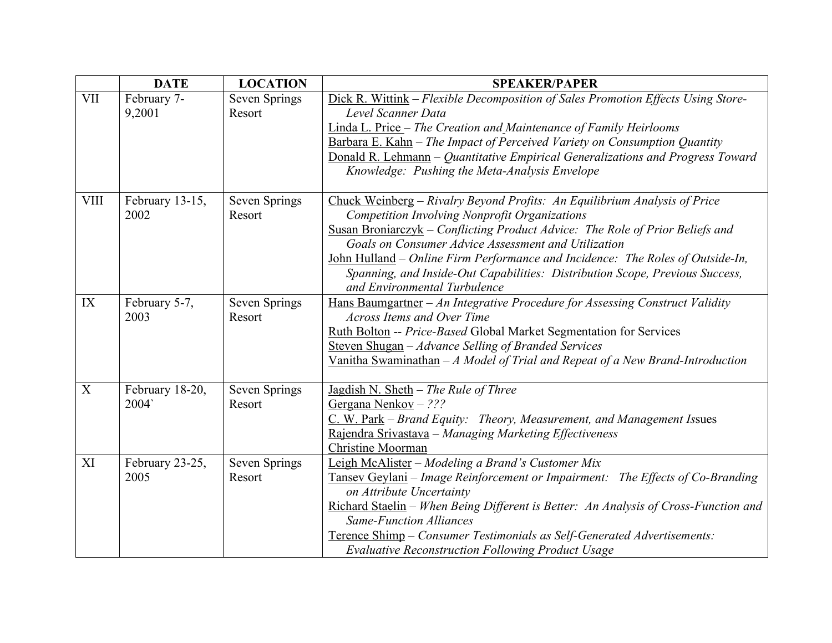|             | <b>DATE</b>             | <b>LOCATION</b>         | <b>SPEAKER/PAPER</b>                                                                                                                                                                                                                                                                                                                                                                                                                                                 |
|-------------|-------------------------|-------------------------|----------------------------------------------------------------------------------------------------------------------------------------------------------------------------------------------------------------------------------------------------------------------------------------------------------------------------------------------------------------------------------------------------------------------------------------------------------------------|
| <b>VII</b>  | February 7-<br>9,2001   | Seven Springs<br>Resort | Dick R. Wittink – Flexible Decomposition of Sales Promotion Effects Using Store-<br>Level Scanner Data<br>Linda L. Price - The Creation and Maintenance of Family Heirlooms<br>Barbara E. Kahn - The Impact of Perceived Variety on Consumption Quantity<br>Donald R. Lehmann – Quantitative Empirical Generalizations and Progress Toward<br>Knowledge: Pushing the Meta-Analysis Envelope                                                                          |
| <b>VIII</b> | February 13-15,<br>2002 | Seven Springs<br>Resort | Chuck Weinberg - Rivalry Beyond Profits: An Equilibrium Analysis of Price<br>Competition Involving Nonprofit Organizations<br>Susan Broniarczyk - Conflicting Product Advice: The Role of Prior Beliefs and<br>Goals on Consumer Advice Assessment and Utilization<br>John Hulland – Online Firm Performance and Incidence: The Roles of Outside-In,<br>Spanning, and Inside-Out Capabilities: Distribution Scope, Previous Success,<br>and Environmental Turbulence |
| IX          | February 5-7,<br>2003   | Seven Springs<br>Resort | Hans Baumgartner $-An$ Integrative Procedure for Assessing Construct Validity<br>Across Items and Over Time<br>Ruth Bolton -- Price-Based Global Market Segmentation for Services<br>Steven Shugan - Advance Selling of Branded Services<br>Vanitha Swaminathan $-A$ Model of Trial and Repeat of a New Brand-Introduction                                                                                                                                           |
| X           | February 18-20,<br>2004 | Seven Springs<br>Resort | Jagdish N. Sheth $-$ The Rule of Three<br>Gergana Nenkov $-$ ???<br>$C. W. Park$ – Brand Equity: Theory, Measurement, and Management Issues<br>Rajendra Srivastava - Managing Marketing Effectiveness<br>Christine Moorman                                                                                                                                                                                                                                           |
| XI          | February 23-25,<br>2005 | Seven Springs<br>Resort | Leigh McAlister - Modeling a Brand's Customer Mix<br>Tansey Geylani – Image Reinforcement or Impairment: The Effects of Co-Branding<br>on Attribute Uncertainty<br>Richard Staelin - When Being Different is Better: An Analysis of Cross-Function and<br><b>Same-Function Alliances</b><br>Terence Shimp - Consumer Testimonials as Self-Generated Advertisements:<br><b>Evaluative Reconstruction Following Product Usage</b>                                      |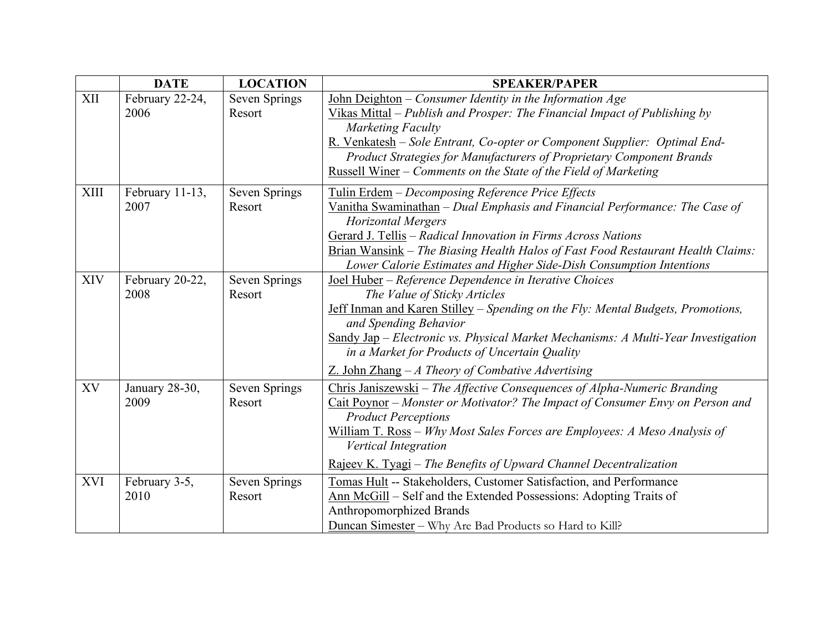|             | <b>DATE</b>             | <b>LOCATION</b>                | <b>SPEAKER/PAPER</b>                                                                                                                                                                                                                                                                                                                                                                            |
|-------------|-------------------------|--------------------------------|-------------------------------------------------------------------------------------------------------------------------------------------------------------------------------------------------------------------------------------------------------------------------------------------------------------------------------------------------------------------------------------------------|
| XII         | February 22-24,<br>2006 | <b>Seven Springs</b><br>Resort | John Deighton $-$ Consumer Identity in the Information Age<br>Vikas Mittal - Publish and Prosper: The Financial Impact of Publishing by<br>Marketing Faculty<br>R. Venkatesh - Sole Entrant, Co-opter or Component Supplier: Optimal End-<br>Product Strategies for Manufacturers of Proprietary Component Brands<br><u>Russell Winer</u> – Comments on the State of the Field of Marketing     |
| <b>XIII</b> | February 11-13,<br>2007 | Seven Springs<br>Resort        | Tulin Erdem - Decomposing Reference Price Effects<br>Vanitha Swaminathan – Dual Emphasis and Financial Performance: The Case of<br><b>Horizontal Mergers</b><br>Gerard J. Tellis - Radical Innovation in Firms Across Nations<br>Brian Wansink - The Biasing Health Halos of Fast Food Restaurant Health Claims:<br>Lower Calorie Estimates and Higher Side-Dish Consumption Intentions         |
| <b>XIV</b>  | February 20-22,<br>2008 | Seven Springs<br>Resort        | Joel Huber - Reference Dependence in Iterative Choices<br>The Value of Sticky Articles<br>Jeff Inman and Karen Stilley - Spending on the Fly: Mental Budgets, Promotions,<br>and Spending Behavior<br>Sandy Jap – Electronic vs. Physical Market Mechanisms: A Multi-Year Investigation<br>in a Market for Products of Uncertain Quality<br>$Z.$ John Zhang - A Theory of Combative Advertising |
| XV          | January 28-30,<br>2009  | Seven Springs<br>Resort        | Chris Janiszewski – The Affective Consequences of Alpha-Numeric Branding<br>Cait Poynor – Monster or Motivator? The Impact of Consumer Envy on Person and<br><b>Product Perceptions</b><br>William T. Ross - Why Most Sales Forces are Employees: A Meso Analysis of<br><b>Vertical Integration</b><br>Rajeev K. Tyagi – The Benefits of Upward Channel Decentralization                        |
| <b>XVI</b>  | February 3-5,<br>2010   | Seven Springs<br>Resort        | Tomas Hult -- Stakeholders, Customer Satisfaction, and Performance<br>Ann McGill - Self and the Extended Possessions: Adopting Traits of<br>Anthropomorphized Brands<br>Duncan Simester - Why Are Bad Products so Hard to Kill?                                                                                                                                                                 |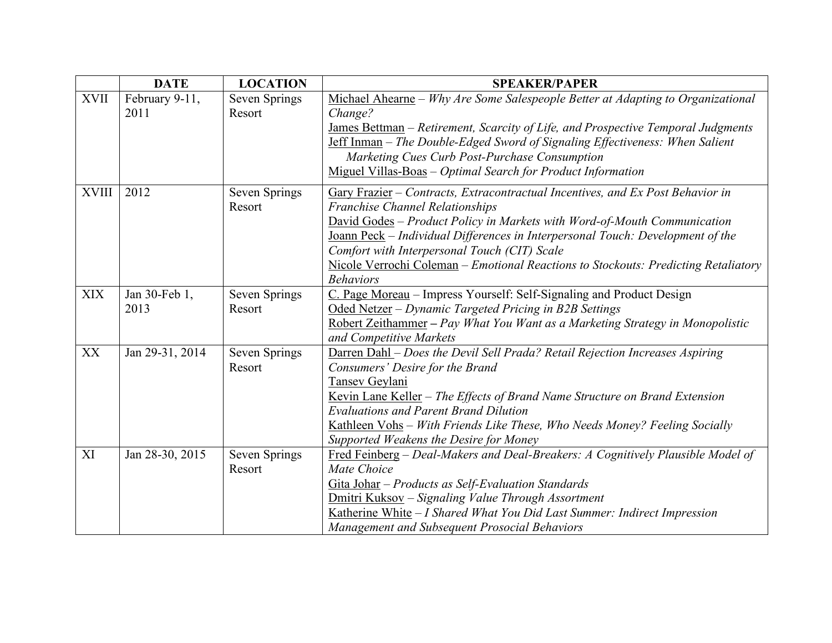|              | <b>DATE</b>            | <b>LOCATION</b>                | <b>SPEAKER/PAPER</b>                                                                                                                                                                                                                                                                                                                                                                                                                             |
|--------------|------------------------|--------------------------------|--------------------------------------------------------------------------------------------------------------------------------------------------------------------------------------------------------------------------------------------------------------------------------------------------------------------------------------------------------------------------------------------------------------------------------------------------|
| <b>XVII</b>  | February 9-11,<br>2011 | Seven Springs<br>Resort        | Michael Ahearne - Why Are Some Salespeople Better at Adapting to Organizational<br>Change?<br>James Bettman - Retirement, Scarcity of Life, and Prospective Temporal Judgments<br><b>Jeff Inman</b> - The Double-Edged Sword of Signaling Effectiveness: When Salient<br>Marketing Cues Curb Post-Purchase Consumption<br>Miguel Villas-Boas - Optimal Search for Product Information                                                            |
| <b>XVIII</b> | 2012                   | <b>Seven Springs</b><br>Resort | Gary Frazier – Contracts, Extracontractual Incentives, and Ex Post Behavior in<br><b>Franchise Channel Relationships</b><br>David Godes - Product Policy in Markets with Word-of-Mouth Communication<br>Joann Peck – Individual Differences in Interpersonal Touch: Development of the<br>Comfort with Interpersonal Touch (CIT) Scale<br>Nicole Verrochi Coleman - Emotional Reactions to Stockouts: Predicting Retaliatory<br><b>Behaviors</b> |
| <b>XIX</b>   | Jan 30-Feb 1,<br>2013  | Seven Springs<br>Resort        | C. Page Moreau - Impress Yourself: Self-Signaling and Product Design<br>Oded Netzer - Dynamic Targeted Pricing in B2B Settings<br>Robert Zeithammer - Pay What You Want as a Marketing Strategy in Monopolistic<br>and Competitive Markets                                                                                                                                                                                                       |
| XX           | Jan 29-31, 2014        | Seven Springs<br>Resort        | Darren Dahl - Does the Devil Sell Prada? Retail Rejection Increases Aspiring<br>Consumers' Desire for the Brand<br>Tansev Geylani<br>Kevin Lane Keller - The Effects of Brand Name Structure on Brand Extension<br><b>Evaluations and Parent Brand Dilution</b><br>Kathleen Vohs - With Friends Like These, Who Needs Money? Feeling Socially<br>Supported Weakens the Desire for Money                                                          |
| XI           | Jan 28-30, 2015        | Seven Springs<br>Resort        | Fred Feinberg - Deal-Makers and Deal-Breakers: A Cognitively Plausible Model of<br>Mate Choice<br>Gita Johar - Products as Self-Evaluation Standards<br>Dmitri Kuksov - Signaling Value Through Assortment<br>Katherine White - I Shared What You Did Last Summer: Indirect Impression<br>Management and Subsequent Prosocial Behaviors                                                                                                          |